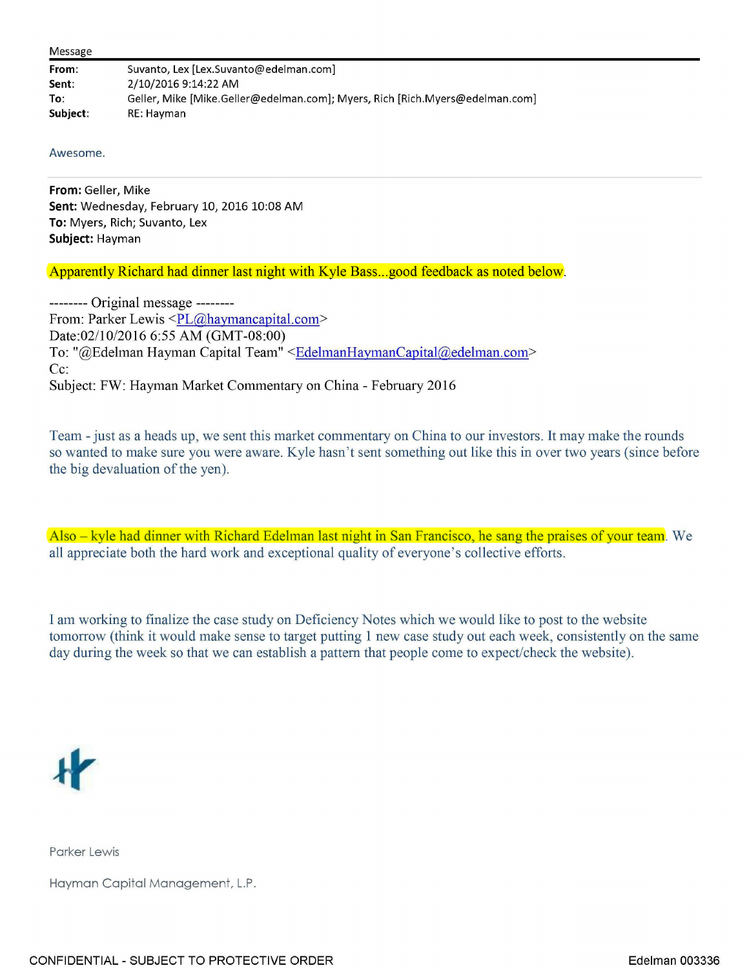|  |  | Message |
|--|--|---------|
|--|--|---------|

| From:    | Suvanto, Lex [Lex.Suvanto@edelman.com]                                       |
|----------|------------------------------------------------------------------------------|
| Sent:    | 2/10/2016 9:14:22 AM                                                         |
| To:      | Geller, Mike [Mike.Geller@edelman.com]; Myers, Rich [Rich.Myers@edelman.com] |
| Subject: | RE: Havman                                                                   |

## Awesome.

**From:** Geller, Mike **Sent:** Wednesday, February 10, 2016 10:08 AM **To:** Myers, Rich; Suvanto, Lex **Subject:** Hayman

Apparently Richard had dinner last night with Kyle Bass...good feedback as noted below.

-------- Original message -------- From: Parker Lewis <PL@haymancapital.com> Date:02/10/2016 6:55 AM (GMT-08:00) To: "@Edelman Hayman Capital Team" <EdelmanHaymanCapital@edelman.com> Cc: Subject: FW: Hayman Market Commentary on China - February 2016

Team - just as a heads up, we sent this market commentary on China to our investors. It may make the rounds so wanted to make sure you were aware. Kyle hasn't sent something out like this in over two years (since before the big devaluation of the yen).

Also - kyle had dinner with Richard Edelman last night in San Francisco, he sang the praises of your team. We all appreciate both the hard work and exceptional quality of everyone's collective efforts.

I am working to finalize the case study on Deficiency Notes which we would like to post to the website tomorrow (think it would make sense to target putting I new case study out each week, consistently on the same day during the week so that we can establish a pattern that people come to expect/check the website).



Parker Lewis

Hayman Capital Management, L.P.